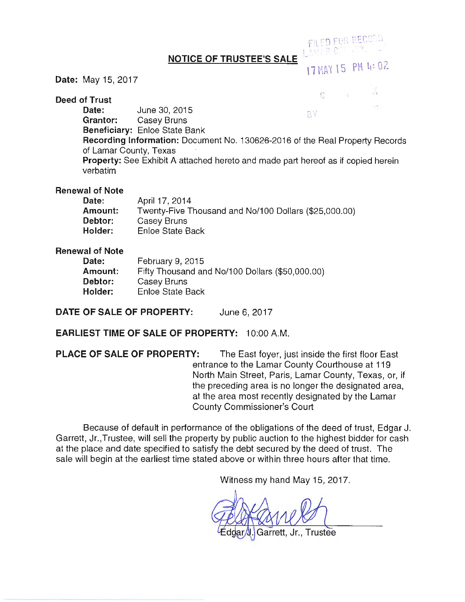### **NOTICE OF TRUSTEE'S SALE**

### **Date:** May 15, 2017

**Deed of Trust** 

 $17$  HAY 15 PM 4: UZ f' ;

 $\sim$ ,  $\sim$ ,  $\sim$ ,  $\sim$ ,  $\sim$ ,  $\sim$ ,  $\sim$ ,  $\sim$ ,  $\sim$ ,  $\sim$ ,  $\sim$ ,  $\sim$ ,  $\sim$ ,  $\sim$ ,  $\sim$ ,  $\sim$ ,  $\sim$ ,  $\sim$ ,  $\sim$ ,  $\sim$ ,  $\sim$ ,  $\sim$ ,  $\sim$ ,  $\sim$ ,  $\sim$ ,  $\sim$ ,  $\sim$ ,  $\sim$ ,  $\sim$ ,  $\sim$ ,  $\sim$ ,  $\sim$ ,  $\sim$ ,  $\sim$ ,  $\sim$ ,  $\sim$ ,  $\sim$ ,

 $c$ <sub>11</sub> $c$ **n** $F$  $f$  $f$  $f$  $f$  $f$ -.

**Date:** June 30, 2015 BY **Grantor:** Casey Bruns **Beneficiary:** Enloe State Bank **Recording Information:** Document No. 130626-2016 of the Real Property Records of Lamar County, Texas **Property:** See Exhibit A attached hereto and made part hereof as if copied herein verbatim

### **Renewal of Note**

| Date:   | April 17, 2014                                        |
|---------|-------------------------------------------------------|
| Amount: | Twenty-Five Thousand and No/100 Dollars (\$25,000.00) |
| Debtor: | Casey Bruns                                           |
| Holder: | Enloe State Back                                      |

#### **Renewal of Note**

| Date:          | February 9, 2015                                |
|----------------|-------------------------------------------------|
| <b>Amount:</b> | Fifty Thousand and No/100 Dollars (\$50,000.00) |
| Debtor:        | Casey Bruns                                     |
| Holder:        | Enloe State Back                                |

## **DATE OF SALE OF PROPERTY:** June 6, 2017

## **EARLIEST TIME OF SALE OF PROPERTY:** 10:00 A.M.

**PLACE OF SALE OF PROPERTY:** The East foyer, just inside the first floor East entrance to the Lamar County Courthouse at 119 North Main Street, Paris, Lamar County, Texas, or, it the preceding area is no longer the designated area, at the area most recently designated by the Lamar County Commissioner's Court

Because of default in performance of the obligations of the deed of trust, Edgar J. Garrett, Jr.,Trustee, will sell the property by public auction to the highest bidder for cash at the place and date specified to satisfy the debt secured by the deed of trust. The sale will begin at the earliest time stated above or within three hours after that time.

Witness my hand May 15, 2017.

Garrett, Jr., Trustee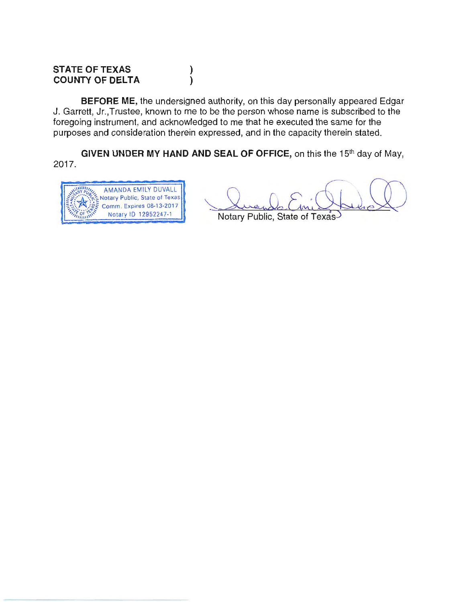#### **STATE OF TEXAS COUNTY OF DELTA** ) )

**BEFORE ME,** the undersigned authority, on this day personally appeared Edgar J. Garrett, Jr.,Trustee, known to me to be the person whose name is subscribed to the foregoing instrument, and acknowledged to me that he executed the same for the purposes and consideration therein expressed, and in the capacity therein stated.

**GIVEN UNDER MY HAND AND SEAL OF OFFICE,** on this the 15<sup>th</sup> day of May, 2017.



Notary Public, State of Texas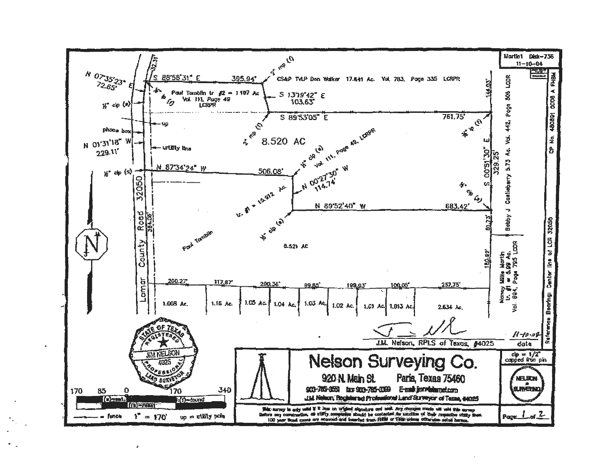

 $\ddot{\textbf{a}}$